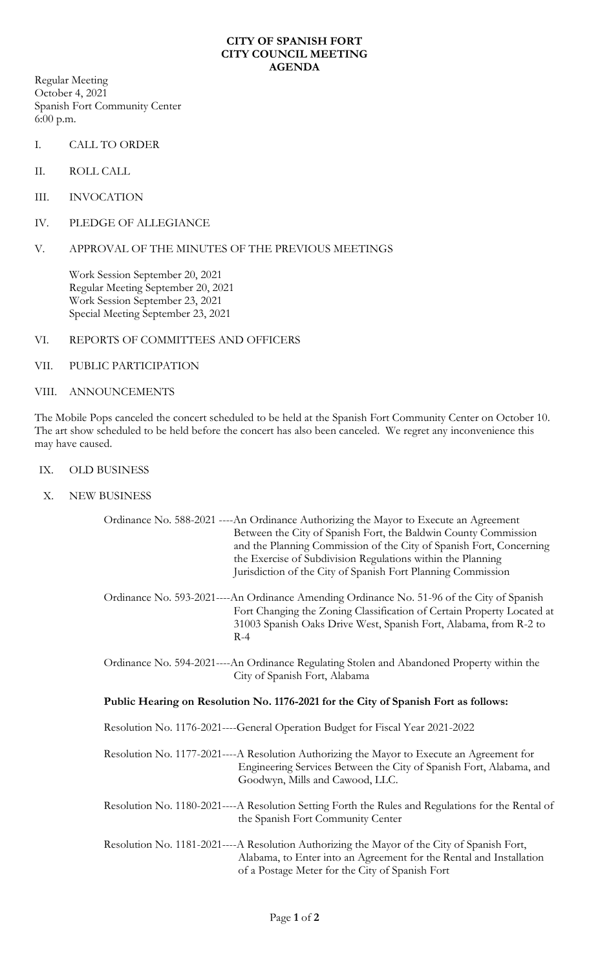## **CITY OF SPANISH FORT CITY COUNCIL MEETING AGENDA**

Regular Meeting October 4, 2021 Spanish Fort Community Center 6:00 p.m.

- I. CALL TO ORDER
- II. ROLL CALL
- III. INVOCATION
- IV. PLEDGE OF ALLEGIANCE
- V. APPROVAL OF THE MINUTES OF THE PREVIOUS MEETINGS

Work Session September 20, 2021 Regular Meeting September 20, 2021 Work Session September 23, 2021 Special Meeting September 23, 2021

- VI. REPORTS OF COMMITTEES AND OFFICERS
- VII. PUBLIC PARTICIPATION
- VIII. ANNOUNCEMENTS

The Mobile Pops canceled the concert scheduled to be held at the Spanish Fort Community Center on October 10. The art show scheduled to be held before the concert has also been canceled. We regret any inconvenience this may have caused.

- IX. OLD BUSINESS
- X. NEW BUSINESS

| Ordinance No. 588-2021 ---- An Ordinance Authorizing the Mayor to Execute an Agreement<br>Between the City of Spanish Fort, the Baldwin County Commission<br>and the Planning Commission of the City of Spanish Fort, Concerning<br>the Exercise of Subdivision Regulations within the Planning<br>Jurisdiction of the City of Spanish Fort Planning Commission |
|-----------------------------------------------------------------------------------------------------------------------------------------------------------------------------------------------------------------------------------------------------------------------------------------------------------------------------------------------------------------|
| Ordinance No. 593-2021----An Ordinance Amending Ordinance No. 51-96 of the City of Spanish<br>Fort Changing the Zoning Classification of Certain Property Located at<br>31003 Spanish Oaks Drive West, Spanish Fort, Alabama, from R-2 to<br>$R-4$                                                                                                              |
| Ordinance No. 594-2021----An Ordinance Regulating Stolen and Abandoned Property within the<br>City of Spanish Fort, Alabama                                                                                                                                                                                                                                     |
| Public Hearing on Resolution No. 1176-2021 for the City of Spanish Fort as follows:                                                                                                                                                                                                                                                                             |
| Resolution No. 1176-2021----General Operation Budget for Fiscal Year 2021-2022                                                                                                                                                                                                                                                                                  |
| Resolution No. 1177-2021----A Resolution Authorizing the Mayor to Execute an Agreement for<br>Engineering Services Between the City of Spanish Fort, Alabama, and<br>Goodwyn, Mills and Cawood, LLC.                                                                                                                                                            |
| Resolution No. 1180-2021----A Resolution Setting Forth the Rules and Regulations for the Rental of<br>the Spanish Fort Community Center                                                                                                                                                                                                                         |
| Resolution No. 1181-2021----A Resolution Authorizing the Mayor of the City of Spanish Fort,<br>Alabama, to Enter into an Agreement for the Rental and Installation<br>of a Postage Meter for the City of Spanish Fort                                                                                                                                           |
|                                                                                                                                                                                                                                                                                                                                                                 |